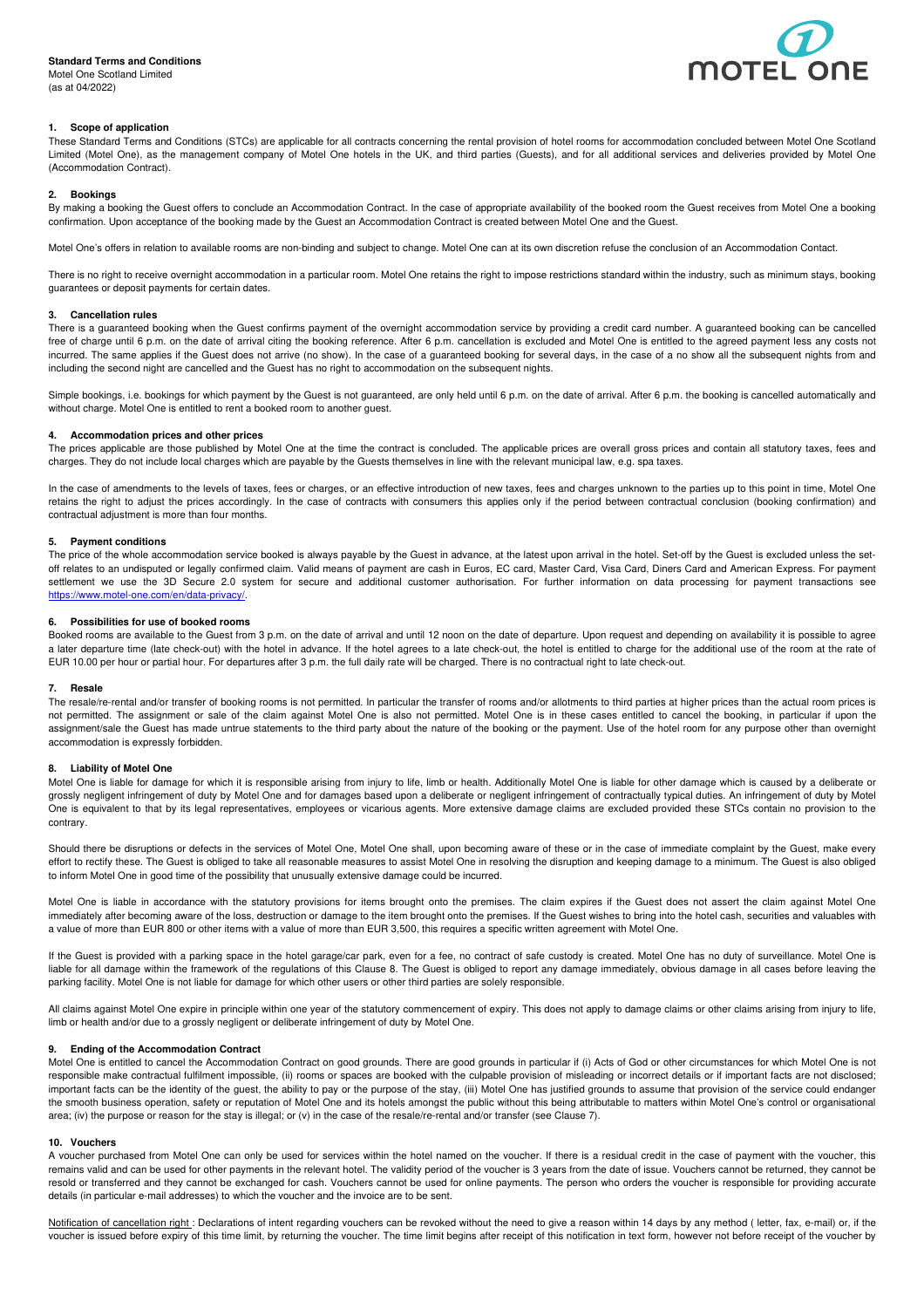# **Standard Terms and Conditions**

Motel One Scotland Limited (as at 04/2022)



## **1. Scope of application**

These Standard Terms and Conditions (STCs) are applicable for all contracts concerning the rental provision of hotel rooms for accommodation concluded between Motel One Scotland Limited (Motel One), as the management company of Motel One hotels in the UK, and third parties (Guests), and for all additional services and deliveries provided by Motel One (Accommodation Contract).

#### **2. Bookings**

By making a booking the Guest offers to conclude an Accommodation Contract. In the case of appropriate availability of the booked room the Guest receives from Motel One a booking confirmation. Upon acceptance of the booking made by the Guest an Accommodation Contract is created between Motel One and the Guest.

Motel One's offers in relation to available rooms are non-binding and subject to change. Motel One can at its own discretion refuse the conclusion of an Accommodation Contact.

There is no right to receive overnight accommodation in a particular room. Motel One retains the right to impose restrictions standard within the industry, such as minimum stays, booking guarantees or deposit payments for certain dates.

## **3. Cancellation rules**

There is a guaranteed booking when the Guest confirms payment of the overnight accommodation service by providing a credit card number. A guaranteed booking can be cancelled free of charge until 6 p.m. on the date of arrival citing the booking reference. After 6 p.m. cancellation is excluded and Motel One is entitled to the agreed payment less any costs not incurred. The same applies if the Guest does not arrive (no show). In the case of a guaranteed booking for several days, in the case of a no show all the subsequent nights from and including the second night are cancelled and the Guest has no right to accommodation on the subsequent nights.

Simple bookings, i.e. bookings for which payment by the Guest is not guaranteed, are only held until 6 p.m. on the date of arrival. After 6 p.m. the booking is cancelled automatically and without charge. Motel One is entitled to rent a booked room to another guest.

#### **4. Accommodation prices and other prices**

The prices applicable are those published by Motel One at the time the contract is concluded. The applicable prices are overall gross prices and contain all statutory taxes, fees and charges. They do not include local charges which are payable by the Guests themselves in line with the relevant municipal law, e.g. spa taxes.

In the case of amendments to the levels of taxes, fees or charges, or an effective introduction of new taxes, fees and charges unknown to the parties up to this point in time, Motel One retains the right to adjust the prices accordingly. In the case of contracts with consumers this applies only if the period between contractual conclusion (booking confirmation) and contractual adjustment is more than four months.

### **5. Payment conditions**

The price of the whole accommodation service booked is always payable by the Guest in advance, at the latest upon arrival in the hotel. Set-off by the Guest is excluded unless the setoff relates to an undisputed or legally confirmed claim. Valid means of payment are cash in Euros, EC card, Master Card, Visa Card, Diners Card and American Express. For payment settlement we use the 3D Secure 2.0 system for secure and additional customer authorisation. For further information on data processing for payment transactions see https://www.motel-one.com/en/data-privacy/.

#### **6. Possibilities for use of booked rooms**

Booked rooms are available to the Guest from 3 p.m. on the date of arrival and until 12 noon on the date of departure. Upon request and depending on availability it is possible to agree a later departure time (late check-out) with the hotel in advance. If the hotel agrees to a late check-out, the hotel is entitled to charge for the additional use of the room at the rate of EUR 10.00 per hour or partial hour. For departures after 3 p.m. the full daily rate will be charged. There is no contractual right to late check-out.

#### **7. Resale**

The resale/re-rental and/or transfer of booking rooms is not permitted. In particular the transfer of rooms and/or allotments to third parties at higher prices than the actual room prices is not permitted. The assignment or sale of the claim against Motel One is also not permitted. Motel One is in these cases entitled to cancel the booking, in particular if upon the assignment/sale the Guest has made untrue statements to the third party about the nature of the booking or the payment. Use of the hotel room for any purpose other than overnight accommodation is expressly forbidden.

### **8. Liability of Motel One**

Motel One is liable for damage for which it is responsible arising from injury to life, limb or health. Additionally Motel One is liable for other damage which is caused by a deliberate or grossly negligent infringement of duty by Motel One and for damages based upon a deliberate or negligent infringement of contractually typical duties. An infringement of duty by Motel One is equivalent to that by its legal representatives, employees or vicarious agents. More extensive damage claims are excluded provided these STCs contain no provision to the contrary.

Should there be disruptions or defects in the services of Motel One, Motel One shall, upon becoming aware of these or in the case of immediate complaint by the Guest, make every effort to rectify these. The Guest is obliged to take all reasonable measures to assist Motel One in resolving the disruption and keeping damage to a minimum. The Guest is also obliged to inform Motel One in good time of the possibility that unusually extensive damage could be incurred.

Motel One is liable in accordance with the statutory provisions for items brought onto the premises. The claim expires if the Guest does not assert the claim against Motel One immediately after becoming aware of the loss, destruction or damage to the item brought onto the premises. If the Guest wishes to bring into the hotel cash, securities and valuables with a value of more than EUR 800 or other items with a value of more than EUR 3,500, this requires a specific written agreement with Motel One.

If the Guest is provided with a parking space in the hotel garage/car park, even for a fee, no contract of safe custody is created. Motel One has no duty of surveillance. Motel One is liable for all damage within the framework of the regulations of this Clause 8. The Guest is obliged to report any damage immediately, obvious damage in all cases before leaving the parking facility. Motel One is not liable for damage for which other users or other third parties are solely responsible.

All claims against Motel One expire in principle within one year of the statutory commencement of expiry. This does not apply to damage claims or other claims arising from injury to life, limb or health and/or due to a grossly negligent or deliberate infringement of duty by Motel One.

#### **9. Ending of the Accommodation Contract**

Motel One is entitled to cancel the Accommodation Contract on good grounds. There are good grounds in particular if (i) Acts of God or other circumstances for which Motel One is not responsible make contractual fulfilment impossible, (ii) rooms or spaces are booked with the culpable provision of misleading or incorrect details or if important facts are not disclosed; important facts can be the identity of the guest, the ability to pay or the purpose of the stay, (iii) Motel One has justified grounds to assume that provision of the service could endanger the smooth business operation, safety or reputation of Motel One and its hotels amongst the public without this being attributable to matters within Motel One's control or organisational area; (iv) the purpose or reason for the stay is illegal; or (v) in the case of the resale/re-rental and/or transfer (see Clause 7).

#### **10. Vouchers**

A voucher purchased from Motel One can only be used for services within the hotel named on the voucher. If there is a residual credit in the case of payment with the voucher, this remains valid and can be used for other payments in the relevant hotel. The validity period of the voucher is 3 years from the date of issue. Vouchers cannot be returned, they cannot be resold or transferred and they cannot be exchanged for cash. Vouchers cannot be used for online payments. The person who orders the voucher is responsible for providing accurate details (in particular e-mail addresses) to which the voucher and the invoice are to be sent.

Notification of cancellation right : Declarations of intent regarding vouchers can be revoked without the need to give a reason within 14 days by any method (letter, fax, e-mail) or, if the voucher is issued before expiry of this time limit, by returning the voucher. The time limit begins after receipt of this notification in text form, however not before receipt of the voucher by